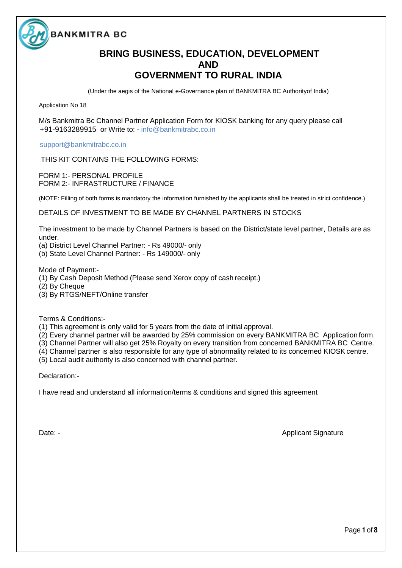

# **BRING BUSINESS, EDUCATION, DEVELOPMENT AND GOVERNMENT TO RURAL INDIA**

(Under the aegis of the National e-Governance plan of BANKMITRA BC Authorityof India)

Application No 18

M/s Bankmitra Bc Channel Partner Application Form for KIOSK banking for any query please call +91-9163289915 or Write to: - info@bankmitrabc.co.in

[support@bankmitrabc.co.in](mailto:support@bankmitrabc.co.in) 

THIS KIT CONTAINS THE FOLLOWING FORMS:

FORM 1:- PERSONAL PROFILE FORM 2:- INFRASTRUCTURE / FINANCE

(NOTE: Filling of both forms is mandatory the information furnished by the applicants shall be treated in strict confidence.)

DETAILS OF INVESTMENT TO BE MADE BY CHANNEL PARTNERS IN STOCKS

The investment to be made by Channel Partners is based on the District/state level partner, Details are as under.

(a) District Level Channel Partner: - Rs 49000/- only

(b) State Level Channel Partner: - Rs 149000/- only

Mode of Payment:-

(1) By Cash Deposit Method (Please send Xerox copy of cash receipt.)

(2) By Cheque

(3) By RTGS/NEFT/Online transfer

Terms & Conditions:-

(1) This agreement is only valid for 5 years from the date of initial approval.

(2) Every channel partner will be awarded by 25% commission on every BANKMITRA BC Application form.

(3) Channel Partner will also get 25% Royalty on every transition from concerned BANKMITRA BC Centre.

(4) Channel partner is also responsible for any type of abnormality related to its concerned KIOSK centre.

(5) Local audit authority is also concerned with channel partner.

Declaration:-

I have read and understand all information/terms & conditions and signed this agreement

Date: - **Applicant Signature** Controllering Controllering Controllering Controllering Controllering Controllering Controllering Controllering Controllering Controllering Controllering Controllering Controllering Controller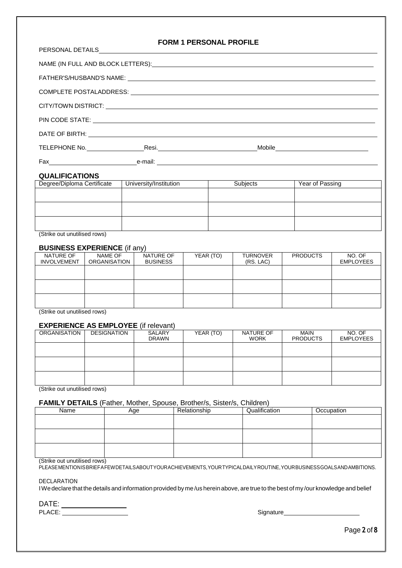| <b>FORM 1 PERSONAL PROFILE</b>                                                                                                                                                                                                 |
|--------------------------------------------------------------------------------------------------------------------------------------------------------------------------------------------------------------------------------|
| NAME (IN FULL AND BLOCK LETTERS): NAME (IN THE RESERVE AND RELATED AND RELATED AND RELATED AND RELATED AND RELATED AND RELATED AND RELATED AND RELATED AND RELATED AND RELATED AND RELATED AND RELATED AND RELATED AND RELATED |
| FATHER'S/HUSBAND'S NAME: NAME: NAME AND A SERIES OF THE SERIES OF THE SERIES OF THE SERIES OF THE SERIES OF THE SERIES OF THE SERIES OF THE SERIES OF THE SERIES OF THE SERIES OF THE SERIES OF THE SERIES OF THE SERIES OF TH |
|                                                                                                                                                                                                                                |
|                                                                                                                                                                                                                                |
| PIN CODE STATE: <b>A PIN CODE STATE:</b>                                                                                                                                                                                       |
|                                                                                                                                                                                                                                |
|                                                                                                                                                                                                                                |
|                                                                                                                                                                                                                                |

### **QUALIFICATIONS**

| Degree/Diploma Certificate | University/Institution | Subjects | Year of Passing |
|----------------------------|------------------------|----------|-----------------|
|                            |                        |          |                 |
|                            |                        |          |                 |
|                            |                        |          |                 |
|                            |                        |          |                 |
|                            |                        |          |                 |
|                            |                        |          |                 |

(Strike out unutilised rows)

### **BUSINESS EXPERIENCE** (if any)

| NATURE OF<br><b>INVOLVEMENT</b> | NAME OF<br><b>ORGANISATION</b> | NATURE OF<br><b>BUSINESS</b> | YEAR (TO) | <b>TURNOVER</b><br>(RS. LAC) | <b>PRODUCTS</b> | NO. OF<br><b>EMPLOYEES</b> |
|---------------------------------|--------------------------------|------------------------------|-----------|------------------------------|-----------------|----------------------------|
|                                 |                                |                              |           |                              |                 |                            |
|                                 |                                |                              |           |                              |                 |                            |
|                                 |                                |                              |           |                              |                 |                            |

(Strike out unutilised rows)

### **EXPERIENCE AS EMPLOYEE** (if relevant)

|                     |             | .                             |           |                          |                                |                            |
|---------------------|-------------|-------------------------------|-----------|--------------------------|--------------------------------|----------------------------|
| <b>ORGANISATION</b> | DESIGNATION | <b>SALARY</b><br><b>DRAWN</b> | YEAR (TO) | NATURE OF<br><b>WORK</b> | <b>MAIN</b><br><b>PRODUCTS</b> | NO. OF<br><b>EMPLOYEES</b> |
|                     |             |                               |           |                          |                                |                            |
|                     |             |                               |           |                          |                                |                            |
|                     |             |                               |           |                          |                                |                            |

(Strike out unutilised rows)

### **FAMILY DETAILS** (Father, Mother, Spouse, Brother/s, Sister/s, Children)

| Name | Aqe | Relationship | Qualification | Occupation |
|------|-----|--------------|---------------|------------|
|      |     |              |               |            |
|      |     |              |               |            |
|      |     |              |               |            |
|      |     |              |               |            |
|      |     |              |               |            |
|      |     |              |               |            |

### (Strike out unutilised rows)

PLEASEMENTIONISBRIEFAFEWDETAILSABOUTYOURACHIEVEMENTS,YOURTYPICALDAILYROUTINE,YOURBUSINESSGOALSANDAMBITIONS.

DECLARATION

IWedeclare that the details and information provided by me /us herein above, are true to the best of my /our knowledge and belief

DATE: PLACE: Signature Signature Contract of the Signature Contract of the Signature Contract of the Signature Contract of the Signature Contract of the Signature Contract of the Signature Contract of the Signature Contract of t

Page **2** of**8**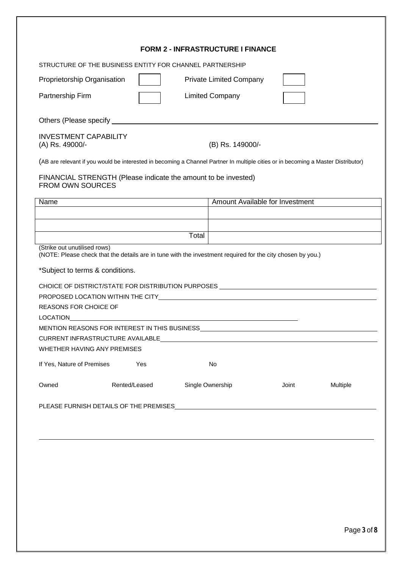|                                                 |                                                          | <b>FORM 2 - INFRASTRUCTURE I FINANCE</b>                                                                                          |                                 |          |
|-------------------------------------------------|----------------------------------------------------------|-----------------------------------------------------------------------------------------------------------------------------------|---------------------------------|----------|
|                                                 | STRUCTURE OF THE BUSINESS ENTITY FOR CHANNEL PARTNERSHIP |                                                                                                                                   |                                 |          |
| Proprietorship Organisation                     |                                                          | <b>Private Limited Company</b>                                                                                                    |                                 |          |
| Partnership Firm                                |                                                          | <b>Limited Company</b>                                                                                                            |                                 |          |
|                                                 |                                                          |                                                                                                                                   |                                 |          |
| <b>INVESTMENT CAPABILITY</b><br>(A) Rs. 49000/- |                                                          | (B) Rs. 149000/-                                                                                                                  |                                 |          |
|                                                 |                                                          | (AB are relevant if you would be interested in becoming a Channel Partner In multiple cities or in becoming a Master Distributor) |                                 |          |
| <b>FROM OWN SOURCES</b>                         |                                                          | FINANCIAL STRENGTH (Please indicate the amount to be invested)                                                                    |                                 |          |
| Name                                            |                                                          |                                                                                                                                   | Amount Available for Investment |          |
|                                                 |                                                          |                                                                                                                                   |                                 |          |
|                                                 |                                                          | Total                                                                                                                             |                                 |          |
| (Strike out unutilised rows)                    |                                                          | (NOTE: Please check that the details are in tune with the investment required for the city chosen by you.)                        |                                 |          |
| <b>REASONS FOR CHOICE OF</b><br>LOCATION        |                                                          | CHOICE OF DISTRICT/STATE FOR DISTRIBUTION PURPOSES ______________________________                                                 |                                 |          |
|                                                 |                                                          |                                                                                                                                   |                                 |          |
|                                                 | WHETHER HAVING ANY PREMISES                              |                                                                                                                                   |                                 |          |
| If Yes, Nature of Premises                      | Yes                                                      | No                                                                                                                                |                                 |          |
| Owned                                           | Rented/Leased                                            | Single Ownership                                                                                                                  | Joint                           | Multiple |
|                                                 |                                                          | PLEASE FURNISH DETAILS OF THE PREMISES <b>FURNISHED ASSESS</b>                                                                    |                                 |          |
|                                                 |                                                          |                                                                                                                                   |                                 |          |
|                                                 |                                                          |                                                                                                                                   |                                 |          |
|                                                 |                                                          |                                                                                                                                   |                                 |          |
|                                                 |                                                          |                                                                                                                                   |                                 |          |
|                                                 |                                                          |                                                                                                                                   |                                 |          |
|                                                 |                                                          |                                                                                                                                   |                                 |          |
|                                                 |                                                          |                                                                                                                                   |                                 |          |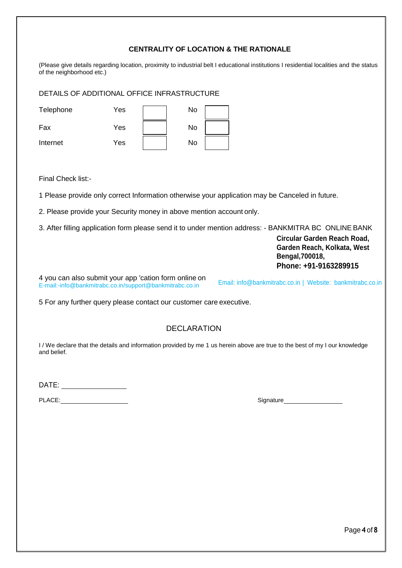## **CENTRALITY OF LOCATION & THE RATIONALE**

(Please give details regarding location, proximity to industrial belt I educational institutions I residential localities and the status of the neighborhood etc.)

DETAILS OF ADDITIONAL OFFICE INFRASTRUCTURE

| Telephone | Yes | No |  |
|-----------|-----|----|--|
| Fax       | Yes | No |  |
| Internet  | Yes | No |  |

Final Check list:-

1 Please provide only correct Information otherwise your application may be Canceled in future.

2. Please provide your Security money in above mention account only.

3. After filling application form please send it to under mention address: - BANKMITRA BC ONLINE BANK

**Circular Garden Reach Road, Garden Reach, Kolkata, West Bengal,700018, Phone: +91-9163289915** 

4 you can also submit your app 'cation form online o[n](mailto:-info@oxigencsp.org) [E-mail:-info@bankmitrabc.co.in](mailto:-info@oxigencsp.org)[/support@bankmitrabc.co.in](mailto:/support@oxigencsp.org) 

Email: [info@bankmitrabc.co.in](mailto:info@oxigencsp.org) | Website: [bankmitrabc.co.in](http://www.oxigencsp.org/) 

5 For any further query please contact our customer care executive.

# DECLARATION

I / We declare that the details and information provided by me 1 us herein above are true to the best of my I our knowledge and belief.

DATE:

PLACE: Signature Signature Contract of the Signature Signature Signature Signature Signature Signature Signature Signature Signature Signature Signature Signature Signature Signature Signature Signature Signature Signature

Page **4** of**8**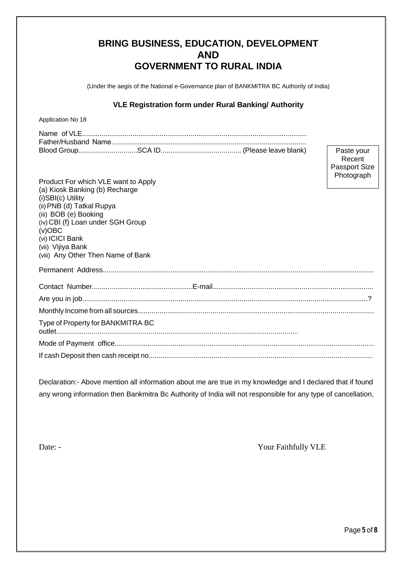| <b>BRING BUSINESS, EDUCATION, DEVELOPMENT</b> |
|-----------------------------------------------|
| <b>AND</b>                                    |
| <b>GOVERNMENT TO RURAL INDIA</b>              |

(Under the aegis of the National e-Governance plan of BANKMITRA BC Authority of India)

## **VLE Registration form under Rural Banking/ Authority**

Application No 18

Paste your Recent Passport Size Photograph

| Product For which VLE want to Apply<br>(a) Kiosk Banking (b) Recharge<br>$(i)$ SBI $(c)$ Utility<br>(ii) PNB (d) Tatkal Rupya<br>(iii) BOB (e) Booking<br>(iv) CBI (f} Loan under SGH Group<br>$(v)$ OBC<br>(vi) ICICI Bank<br>(vii) Vijiya Bank<br>(viii) Any Other Then Name of Bank | Photograph |
|----------------------------------------------------------------------------------------------------------------------------------------------------------------------------------------------------------------------------------------------------------------------------------------|------------|
|                                                                                                                                                                                                                                                                                        |            |
|                                                                                                                                                                                                                                                                                        |            |
|                                                                                                                                                                                                                                                                                        |            |
|                                                                                                                                                                                                                                                                                        |            |
| Type of Property for BANKMITRA BC                                                                                                                                                                                                                                                      |            |
|                                                                                                                                                                                                                                                                                        |            |
|                                                                                                                                                                                                                                                                                        |            |

Declaration:- Above mention all information about me are true in my knowledge and I declared that if found any wrong information then Bankmitra Bc Authority of India will not responsible for any type of cancellation,

Date: - Your Faithfully VLE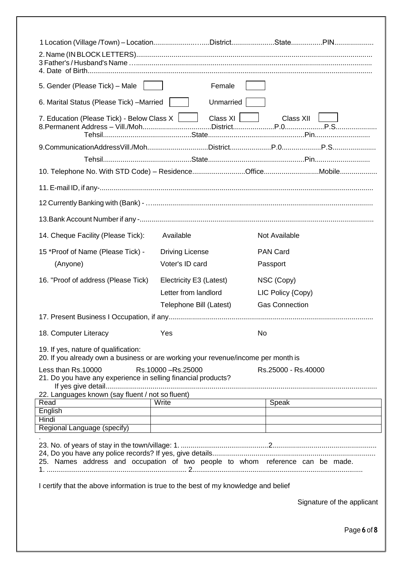| 5. Gender (Please Tick) - Male                                                                                            | Female                                                                                                                                                                                                                        |                            |  |
|---------------------------------------------------------------------------------------------------------------------------|-------------------------------------------------------------------------------------------------------------------------------------------------------------------------------------------------------------------------------|----------------------------|--|
| 6. Marital Status (Please Tick) - Married                                                                                 | Unmarried                                                                                                                                                                                                                     |                            |  |
| 7. Education (Please Tick) - Below Class $X$ $\Box$                                                                       | Class XI                                                                                                                                                                                                                      | Class XII                  |  |
|                                                                                                                           |                                                                                                                                                                                                                               |                            |  |
|                                                                                                                           |                                                                                                                                                                                                                               |                            |  |
|                                                                                                                           |                                                                                                                                                                                                                               |                            |  |
|                                                                                                                           |                                                                                                                                                                                                                               |                            |  |
|                                                                                                                           |                                                                                                                                                                                                                               |                            |  |
|                                                                                                                           |                                                                                                                                                                                                                               |                            |  |
|                                                                                                                           |                                                                                                                                                                                                                               |                            |  |
|                                                                                                                           |                                                                                                                                                                                                                               |                            |  |
| 14. Cheque Facility (Please Tick):                                                                                        | Available                                                                                                                                                                                                                     | Not Available              |  |
| 15 *Proof of Name (Please Tick) -                                                                                         | <b>Driving License</b>                                                                                                                                                                                                        | <b>PAN Card</b>            |  |
| (Anyone)                                                                                                                  | Voter's ID card                                                                                                                                                                                                               | Passport                   |  |
| 16. "Proof of address (Please Tick)                                                                                       | Electricity E3 (Latest)                                                                                                                                                                                                       | NSC (Copy)                 |  |
|                                                                                                                           | Letter from landlord                                                                                                                                                                                                          | LIC Policy {Copy)          |  |
|                                                                                                                           | Telephone Bill (Latest)                                                                                                                                                                                                       | <b>Gas Connection</b>      |  |
|                                                                                                                           |                                                                                                                                                                                                                               |                            |  |
| 18. Computer Literacy                                                                                                     | Yes                                                                                                                                                                                                                           | No                         |  |
| 19. If yes, nature of qualification:<br>20. If you already own a business or are working your revenue/income per month is |                                                                                                                                                                                                                               |                            |  |
| Less than Rs.10000                                                                                                        | Rs.10000-Rs.25000                                                                                                                                                                                                             | Rs.25000 - Rs.40000        |  |
| 21. Do you have any experience in selling financial products?                                                             |                                                                                                                                                                                                                               |                            |  |
|                                                                                                                           |                                                                                                                                                                                                                               |                            |  |
| 22. Languages known (say fluent / not so fluent)                                                                          |                                                                                                                                                                                                                               |                            |  |
| Read<br>English                                                                                                           | Write                                                                                                                                                                                                                         | Speak                      |  |
| Hindi                                                                                                                     |                                                                                                                                                                                                                               |                            |  |
| Regional Language (specify)                                                                                               | the control of the control of the control of the control of the control of the control of the control of the control of the control of the control of the control of the control of the control of the control of the control |                            |  |
|                                                                                                                           |                                                                                                                                                                                                                               |                            |  |
|                                                                                                                           |                                                                                                                                                                                                                               |                            |  |
|                                                                                                                           |                                                                                                                                                                                                                               |                            |  |
| 25. Names address and occupation of two people to whom reference can be made.                                             |                                                                                                                                                                                                                               |                            |  |
|                                                                                                                           |                                                                                                                                                                                                                               |                            |  |
| I certify that the above information is true to the best of my knowledge and belief                                       |                                                                                                                                                                                                                               |                            |  |
|                                                                                                                           |                                                                                                                                                                                                                               | Signature of the applicant |  |
|                                                                                                                           |                                                                                                                                                                                                                               |                            |  |

Page **6** of**8**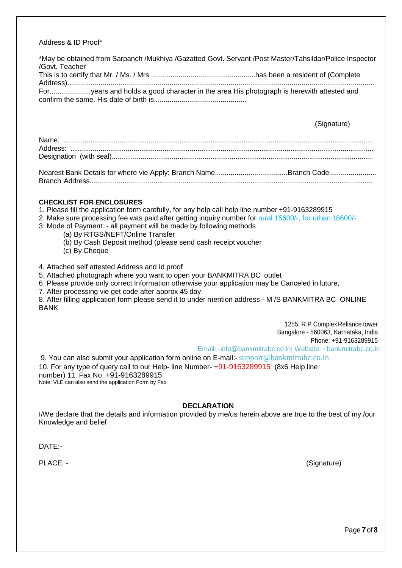### Address & ID Proof\*

\*May be obtained from Sarpanch /Mukhiya /Gazatted Govt. Servant /Post Master/Tahsildar/Police Inspector /Govt. Teacher This is to certify that Mr. / Ms. / Mrs......................................................has been a resident of (Complete Address)............................................................................................................................................................ For.....................years and holds a good character in the area His photograph is herewith attested and confirm the same. His date of birth is...............................................

(Signature)

Nearest Bank Details for where vie Apply: Branch Name.....................................Branch Code........................ Branch Address..................................................................................................................................................

### **CHECKLIST FOR ENCLOSURES**

- 1. Please fill the application form carefully, for any help call help line number +91-9163289915
- 2. Make sure processing fee was paid after getting inquiry number for rural 15600/-, for urban 18600/-
- 3. Mode of Payment: all payment will be made by following methods
	- (a) By RTGS/NEFT/Online Transfer
	- (b) By Cash Deposit method (please send cash receipt voucher
	- (c) By Cheque
- 4. Attached self attested Address and Id proof
- 5. Attached photograph where you want to open your BANKMITRA BC outlet
- 6. Please provide only correct Information otherwise your application may be Canceled in future,
- 7. After processing vie get code after approx 45 day

8. After filling application form please send it to under mention address - M /S BANKMITRA BC ONLINE **BANK** 

1255, R.P Complex Reliance tower Bangalore - 560063, Karnataka, India Phone: +91-9163289915 Email: [-info@bankmitrabc.co.in|](mailto:-info@oxigencsp.org) Website: - [bankmitrabc.co.in](http://www.oxigencsp.org/)  9. You can also submit your application form online on E-mail:-[support@bankmitrabc.co.in](mailto:support@oxigencsp.org) 10. For any type of query call to our Help- line Number- +91-9163289915 (8x6 Help line number) 11. Fax No. +91-9163289915

Note: VLE can also send the application Form by Fax,

### **DECLARATION**

I/We declare that the details and information provided by me/us herein above are true to the best of my /our Knowledge and belief

DATE:-

PLACE: - (Signature)

Page **7** of**8**